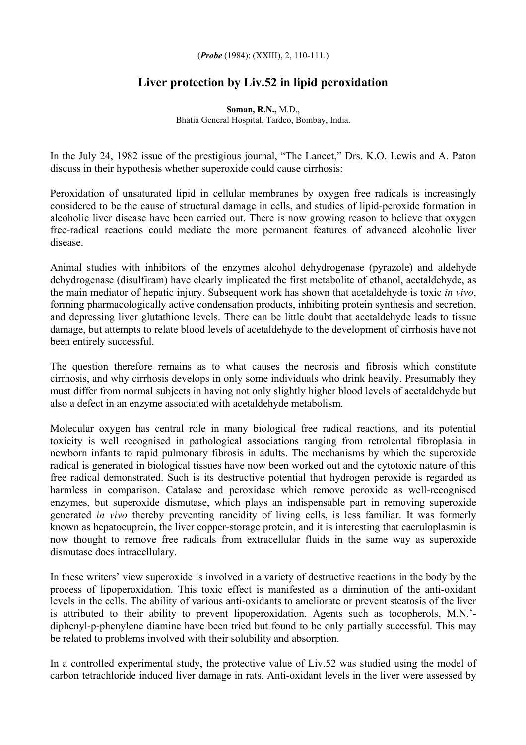## (*Probe* (1984): (XXIII), 2, 110-111.)

## **Liver protection by Liv.52 in lipid peroxidation**

**Soman, R.N.,** M.D., Bhatia General Hospital, Tardeo, Bombay, India.

In the July 24, 1982 issue of the prestigious journal, "The Lancet," Drs. K.O. Lewis and A. Paton discuss in their hypothesis whether superoxide could cause cirrhosis:

Peroxidation of unsaturated lipid in cellular membranes by oxygen free radicals is increasingly considered to be the cause of structural damage in cells, and studies of lipid-peroxide formation in alcoholic liver disease have been carried out. There is now growing reason to believe that oxygen free-radical reactions could mediate the more permanent features of advanced alcoholic liver disease.

Animal studies with inhibitors of the enzymes alcohol dehydrogenase (pyrazole) and aldehyde dehydrogenase (disulfiram) have clearly implicated the first metabolite of ethanol, acetaldehyde, as the main mediator of hepatic injury. Subsequent work has shown that acetaldehyde is toxic *in vivo*, forming pharmacologically active condensation products, inhibiting protein synthesis and secretion, and depressing liver glutathione levels. There can be little doubt that acetaldehyde leads to tissue damage, but attempts to relate blood levels of acetaldehyde to the development of cirrhosis have not been entirely successful.

The question therefore remains as to what causes the necrosis and fibrosis which constitute cirrhosis, and why cirrhosis develops in only some individuals who drink heavily. Presumably they must differ from normal subjects in having not only slightly higher blood levels of acetaldehyde but also a defect in an enzyme associated with acetaldehyde metabolism.

Molecular oxygen has central role in many biological free radical reactions, and its potential toxicity is well recognised in pathological associations ranging from retrolental fibroplasia in newborn infants to rapid pulmonary fibrosis in adults. The mechanisms by which the superoxide radical is generated in biological tissues have now been worked out and the cytotoxic nature of this free radical demonstrated. Such is its destructive potential that hydrogen peroxide is regarded as harmless in comparison. Catalase and peroxidase which remove peroxide as well-recognised enzymes, but superoxide dismutase, which plays an indispensable part in removing superoxide generated *in vivo* thereby preventing rancidity of living cells, is less familiar. It was formerly known as hepatocuprein, the liver copper-storage protein, and it is interesting that caeruloplasmin is now thought to remove free radicals from extracellular fluids in the same way as superoxide dismutase does intracellulary.

In these writers' view superoxide is involved in a variety of destructive reactions in the body by the process of lipoperoxidation. This toxic effect is manifested as a diminution of the anti-oxidant levels in the cells. The ability of various anti-oxidants to ameliorate or prevent steatosis of the liver is attributed to their ability to prevent lipoperoxidation. Agents such as tocopherols, M.N.' diphenyl-p-phenylene diamine have been tried but found to be only partially successful. This may be related to problems involved with their solubility and absorption.

In a controlled experimental study, the protective value of Liv.52 was studied using the model of carbon tetrachloride induced liver damage in rats. Anti-oxidant levels in the liver were assessed by